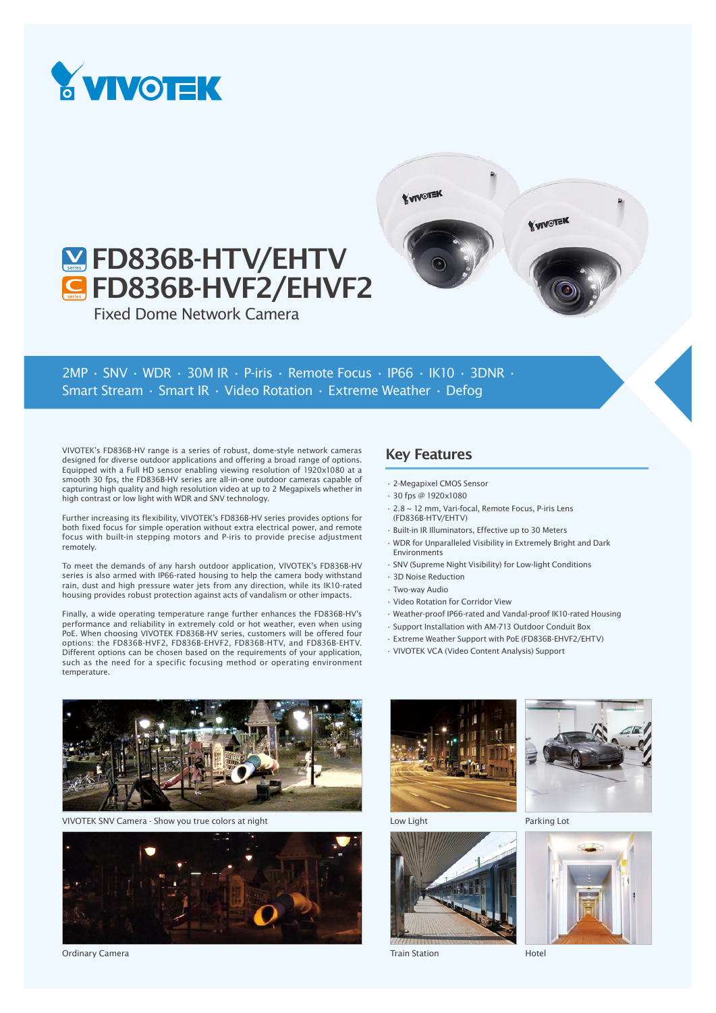

# **M**FD836B-HTV/EHTV **G** FD836B-HVF2/EHVF2

Fixed Dome Network Camera

2MP • SNV • WDR • 30M IR • P-iris • Remote Focus • IP66 • IK10 • 3DNR • Smart Stream • Smart IR • Video Rotation • Extreme Weather • Defog

VIVOTEK's FD836B-HV range is a series of robust, dome-style network cameras designed for diverse outdoor applications and offering a broad range of options. Equipped with a Full HD sensor enabling viewing resolution of 1920x1080 at a smooth 30 fps, the FD836B-HV series are all-in-one outdoor cameras capable of capturing high quality and high resolution video at up to 2 Megapixels whether in high contrast or low light with WDR and SNV technology.

Further increasing its flexibility, VIVOTEK's FD836B-HV series provides options for both fixed focus for simple operation without extra electrical power, and remote focus with built-in stepping motors and P-iris to provide precise adjustment remotely.

To meet the demands of any harsh outdoor application, VIVOTEK's FD836B-HV series is also armed with IP66-rated housing to help the camera body withstand rain, dust and high pressure water jets from any direction, while its IK10-rated housing provides robust protection against acts of vandalism or other impacts.

Finally, a wide operating temperature range further enhances the FD836B-HV's performance and reliability in extremely cold or hot weather, even when using PoE. When choosing VIVOTEK FD836B-HV series, customers will be offered four options: the FD836B-HVF2, FD836B-EHVF2, FD836B-HTV, and FD836B-EHTV. Different options can be chosen based on the requirements of your application, such as the need for a specific focusing method or operating environment temperature.

## Key Features

**YVIVOTEK** 

- 2-Megapixel CMOS Sensor
- 30 fps @ 1920x1080
- 2.8 ~ 12 mm, Vari-focal, Remote Focus, P-iris Lens (FD836B-HTV/EHTV)
- Built-in IR Illuminators, Effective up to 30 Meters
- WDR for Unparalleled Visibility in Extremely Bright and Dark Environments

**YVIVOTEK** 

- SNV (Supreme Night Visibility) for Low-light Conditions
- 3D Noise Reduction
- Two-way Audio
- Video Rotation for Corridor View
- Weather-proof IP66-rated and Vandal-proof IK10-rated Housing
- Support Installation with AM-713 Outdoor Conduit Box
- Extreme Weather Support with PoE (FD836B-EHVF2/EHTV)
- VIVOTEK VCA (Video Content Analysis) Support



VIVOTEK SNV Camera - Show you true colors at night



Ordinary Camera







Train Station



Parking Lot



Hotel